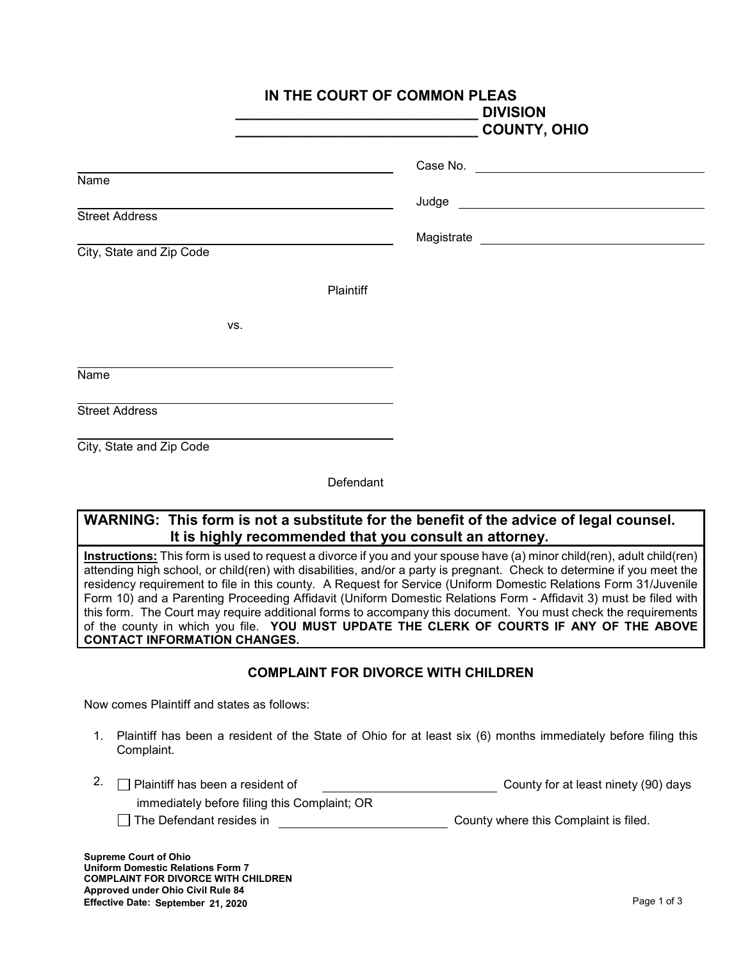|                                                   | IN THE COURT OF COMMON PLEAS<br><b>DIVISION</b><br><b>COUNTY, OHIO</b> |  |
|---------------------------------------------------|------------------------------------------------------------------------|--|
|                                                   |                                                                        |  |
| Name                                              |                                                                        |  |
| <b>Street Address</b><br>City, State and Zip Code |                                                                        |  |
| Plaintiff                                         |                                                                        |  |
| VS.                                               |                                                                        |  |
| Name                                              |                                                                        |  |
| <b>Street Address</b>                             |                                                                        |  |
| City, State and Zip Code                          |                                                                        |  |

Defendant

## **WARNING: This form is not a substitute for the benefit of the advice of legal counsel. It is highly recommended that you consult an attorney.**

**Instructions:** This form is used to request a divorce if you and your spouse have (a) minor child(ren), adult child(ren) attending high school, or child(ren) with disabilities, and/or a party is pregnant. Check to determine if you meet the residency requirement to file in this county. A Request for Service (Uniform Domestic Relations Form 31/Juvenile Form 10) and a Parenting Proceeding Affidavit (Uniform Domestic Relations Form - Affidavit 3) must be filed with this form. The Court may require additional forms to accompany this document. You must check the requirements of the county in which you file. **YOU MUST UPDATE THE CLERK OF COURTS IF ANY OF THE ABOVE CONTACT INFORMATION CHANGES.**

## **COMPLAINT FOR DIVORCE WITH CHILDREN**

Now comes Plaintiff and states as follows:

- 1. Plaintiff has been a resident of the State of Ohio for at least six (6) months immediately before filing this Complaint.
- 2.  $\Box$  Plaintiff has been a resident of  $\Box$  County for at least ninety (90) days immediately before filing this Complaint; OR
	- The Defendant resides in The Defendant resides in County where this Complaint is filed.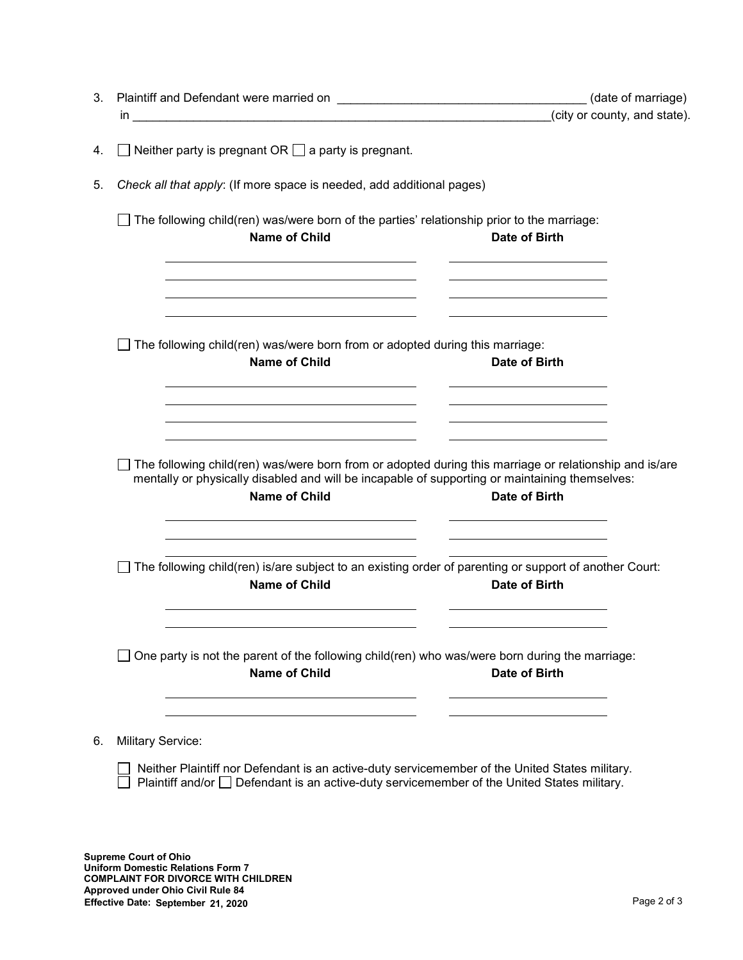|                                                                                                                                                                                                                                                   | (date of marriage)                                                                                                                                                                           |
|---------------------------------------------------------------------------------------------------------------------------------------------------------------------------------------------------------------------------------------------------|----------------------------------------------------------------------------------------------------------------------------------------------------------------------------------------------|
|                                                                                                                                                                                                                                                   | (city or county, and state).                                                                                                                                                                 |
| $\Box$ Neither party is pregnant OR $\Box$ a party is pregnant.                                                                                                                                                                                   |                                                                                                                                                                                              |
| Check all that apply: (If more space is needed, add additional pages)                                                                                                                                                                             |                                                                                                                                                                                              |
| The following child(ren) was/were born of the parties' relationship prior to the marriage:<br><b>Name of Child</b><br><b>Date of Birth</b>                                                                                                        |                                                                                                                                                                                              |
| <u> 1980 - Jan Samuel Barbara, martin da shekarar 1980 - An tsara 1980 - An tsara 1980 - An tsara 1980 - An tsar</u>                                                                                                                              |                                                                                                                                                                                              |
| The following child(ren) was/were born from or adopted during this marriage:<br><b>Name of Child</b><br>Date of Birth                                                                                                                             |                                                                                                                                                                                              |
| The following child(ren) was/were born from or adopted during this marriage or relationship and is/are<br>mentally or physically disabled and will be incapable of supporting or maintaining themselves:<br><b>Name of Child</b><br>Date of Birth |                                                                                                                                                                                              |
| The following child(ren) is/are subject to an existing order of parenting or support of another Court:<br><b>Name of Child</b><br><b>Date of Birth</b>                                                                                            |                                                                                                                                                                                              |
| One party is not the parent of the following child(ren) who was/were born during the marriage:<br><b>Name of Child</b><br>Date of Birth                                                                                                           |                                                                                                                                                                                              |
| <b>Military Service:</b><br>Neither Plaintiff nor Defendant is an active-duty servicemember of the United States military.<br>Plaintiff and/or $\Box$ Defendant is an active-duty servicemember of the United States military.                    |                                                                                                                                                                                              |
|                                                                                                                                                                                                                                                   | the control of the control of the control of the control of the control of the control of<br>the contract of the contract of the contract of the contract of the contract of the contract of |